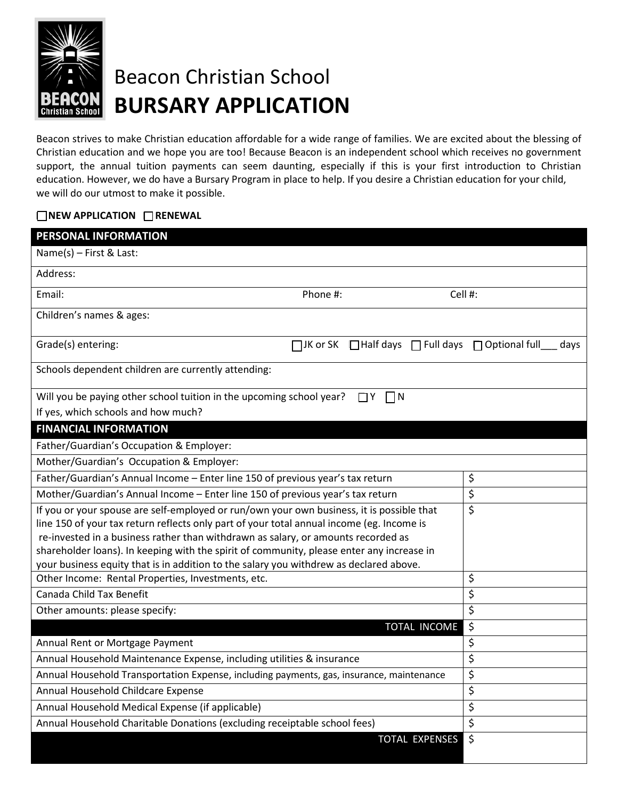

## Beacon Christian School **BURSARY APPLICATION**

Beacon strives to make Christian education affordable for a wide range of families. We are excited about the blessing of Christian education and we hope you are too! Because Beacon is an independent school which receives no government support, the annual tuition payments can seem daunting, especially if this is your first introduction to Christian education. However, we do have a Bursary Program in place to help. If you desire a Christian education for your child, we will do our utmost to make it possible.

## **NEW APPLICATION IN RENEWAL**

| PERSONAL INFORMATION                                                                      |          |                             |                |                                                  |      |  |  |
|-------------------------------------------------------------------------------------------|----------|-----------------------------|----------------|--------------------------------------------------|------|--|--|
| Name(s) - First & Last:                                                                   |          |                             |                |                                                  |      |  |  |
| Address:                                                                                  |          |                             |                |                                                  |      |  |  |
| Email:                                                                                    | Phone #: |                             | Cell #:        |                                                  |      |  |  |
| Children's names & ages:                                                                  |          |                             |                |                                                  |      |  |  |
| Grade(s) entering:                                                                        |          |                             |                | □JK or SK □Half days □ Full days □ Optional full | days |  |  |
| Schools dependent children are currently attending:                                       |          |                             |                |                                                  |      |  |  |
| Will you be paying other school tuition in the upcoming school year?                      |          | $\vert \vert N$<br>$\Box Y$ |                |                                                  |      |  |  |
| If yes, which schools and how much?                                                       |          |                             |                |                                                  |      |  |  |
| <b>FINANCIAL INFORMATION</b>                                                              |          |                             |                |                                                  |      |  |  |
| Father/Guardian's Occupation & Employer:                                                  |          |                             |                |                                                  |      |  |  |
| Mother/Guardian's Occupation & Employer:                                                  |          |                             |                |                                                  |      |  |  |
| Father/Guardian's Annual Income - Enter line 150 of previous year's tax return            |          |                             |                | \$                                               |      |  |  |
| Mother/Guardian's Annual Income - Enter line 150 of previous year's tax return            |          |                             |                | \$                                               |      |  |  |
| If you or your spouse are self-employed or run/own your own business, it is possible that |          |                             |                | \$                                               |      |  |  |
| line 150 of your tax return reflects only part of your total annual income (eg. Income is |          |                             |                |                                                  |      |  |  |
| re-invested in a business rather than withdrawn as salary, or amounts recorded as         |          |                             |                |                                                  |      |  |  |
| shareholder loans). In keeping with the spirit of community, please enter any increase in |          |                             |                |                                                  |      |  |  |
| your business equity that is in addition to the salary you withdrew as declared above.    |          |                             |                |                                                  |      |  |  |
| Other Income: Rental Properties, Investments, etc.                                        | \$       |                             |                |                                                  |      |  |  |
| Canada Child Tax Benefit                                                                  | \$       |                             |                |                                                  |      |  |  |
| Other amounts: please specify:                                                            |          |                             |                | \$                                               |      |  |  |
|                                                                                           |          |                             | TOTAL INCOME   | \$                                               |      |  |  |
| Annual Rent or Mortgage Payment                                                           |          |                             |                | \$                                               |      |  |  |
| Annual Household Maintenance Expense, including utilities & insurance                     |          |                             |                | \$                                               |      |  |  |
| Annual Household Transportation Expense, including payments, gas, insurance, maintenance  |          |                             |                | \$                                               |      |  |  |
| Annual Household Childcare Expense                                                        | \$       |                             |                |                                                  |      |  |  |
| Annual Household Medical Expense (if applicable)                                          | \$       |                             |                |                                                  |      |  |  |
| Annual Household Charitable Donations (excluding receiptable school fees)                 |          | \$                          |                |                                                  |      |  |  |
|                                                                                           |          |                             | TOTAL EXPENSES | \$                                               |      |  |  |